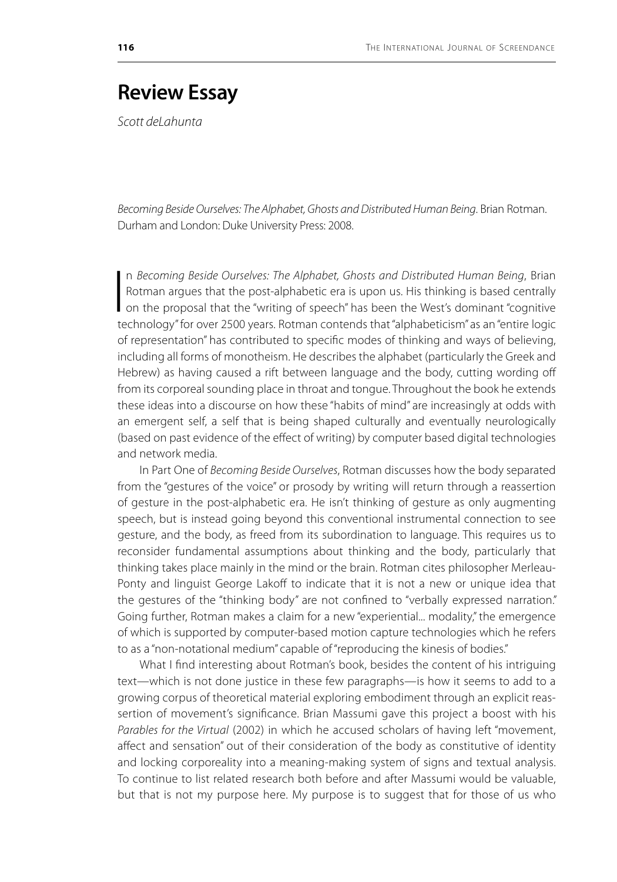## **Review Essay**

*Scott deLahunta*

*Becoming Beside Ourselves: The Alphabet, Ghosts and Distributed Human Being*. Brian Rotman. Durham and London: Duke University Press: 2008.

 $\overline{\mathbf{I}}$ n *Becoming Beside Ourselves: The Alphabet, Ghosts and Distributed Human Being*, Brian Rotman argues that the post-alphabetic era is upon us. His thinking is based centrally on the proposal that the "writing of speech" has been the West's dominant "cognitive technology" for over 2500 years. Rotman contends that "alphabeticism" as an "entire logic of representation" has contributed to specific modes of thinking and ways of believing, including all forms of monotheism. He describes the alphabet (particularly the Greek and Hebrew) as having caused a rift between language and the body, cutting wording off from its corporeal sounding place in throat and tongue. Throughout the book he extends these ideas into a discourse on how these "habits of mind" are increasingly at odds with an emergent self, a self that is being shaped culturally and eventually neurologically (based on past evidence of the effect of writing) by computer based digital technologies and network media.

In Part One of *Becoming Beside Ourselves*, Rotman discusses how the body separated from the "gestures of the voice" or prosody by writing will return through a reassertion of gesture in the post-alphabetic era. He isn't thinking of gesture as only augmenting speech, but is instead going beyond this conventional instrumental connection to see gesture, and the body, as freed from its subordination to language. This requires us to reconsider fundamental assumptions about thinking and the body, particularly that thinking takes place mainly in the mind or the brain. Rotman cites philosopher Merleau-Ponty and linguist George Lakoff to indicate that it is not a new or unique idea that the gestures of the "thinking body" are not confined to "verbally expressed narration." Going further, Rotman makes a claim for a new "experiential... modality," the emergence of which is supported by computer-based motion capture technologies which he refers to as a "non-notational medium" capable of "reproducing the kinesis of bodies."

What I find interesting about Rotman's book, besides the content of his intriguing text—which is not done justice in these few paragraphs—is how it seems to add to a growing corpus of theoretical material exploring embodiment through an explicit reassertion of movement's significance. Brian Massumi gave this project a boost with his *Parables for the Virtual* (2002) in which he accused scholars of having left "movement, affect and sensation" out of their consideration of the body as constitutive of identity and locking corporeality into a meaning-making system of signs and textual analysis. To continue to list related research both before and after Massumi would be valuable, but that is not my purpose here. My purpose is to suggest that for those of us who